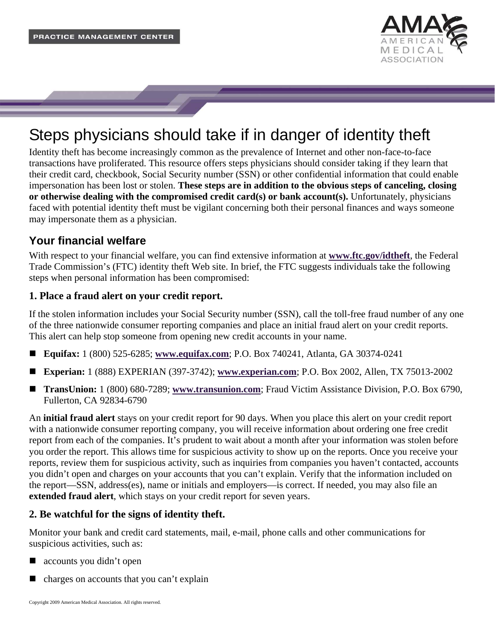

# Steps physicians should take if in danger of identity theft

Identity theft has become increasingly common as the prevalence of Internet and other non-face-to-face transactions have proliferated. This resource offers steps physicians should consider taking if they learn that their credit card, checkbook, Social Security number (SSN) or other confidential information that could enable impersonation has been lost or stolen. **These steps are in addition to the obvious steps of canceling, closing or otherwise dealing with the compromised credit card(s) or bank account(s).** Unfortunately, physicians faced with potential identity theft must be vigilant concerning both their personal finances and ways someone may impersonate them as a physician.

# **Your financial welfare**

With respect to your financial welfare, you can find extensive information at **[www.ftc.gov/idtheft](http://www.ftc.gov/idtheft)**, the Federal Trade Commission's (FTC) identity theft Web site. In brief, the FTC suggests individuals take the following steps when personal information has been compromised:

## **1. Place a fraud alert on your credit report.**

If the stolen information includes your Social Security number (SSN), call the toll-free fraud number of any one of the three nationwide consumer reporting companies and place an initial fraud alert on your credit reports. This alert can help stop someone from opening new credit accounts in your name.

- **Equifax:** 1 (800) 525-6285; **[www.equifax.com](http://www.equifax.com/)**; P.O. Box 740241, Atlanta, GA 30374-0241
- **Experian:** 1 (888) EXPERIAN (397-3742); **[www.experian.com](http://www.experian.com/)**; P.O. Box 2002, Allen, TX 75013-2002
- **TransUnion:** 1 (800) 680-7289; **[www.transunion.com](http://www.transunion.com/)**; Fraud Victim Assistance Division, P.O. Box 6790, Fullerton, CA 92834-6790

An **initial fraud alert** stays on your credit report for 90 days. When you place this alert on your credit report with a nationwide consumer reporting company, you will receive information about ordering one free credit report from each of the companies. It's prudent to wait about a month after your information was stolen before you order the report. This allows time for suspicious activity to show up on the reports. Once you receive your reports, review them for suspicious activity, such as inquiries from companies you haven't contacted, accounts you didn't open and charges on your accounts that you can't explain. Verify that the information included on the report—SSN, address(es), name or initials and employers—is correct. If needed, you may also file an **extended fraud alert**, which stays on your credit report for seven years.

## **2. Be watchful for the signs of identity theft.**

Monitor your bank and credit card statements, mail, e-mail, phone calls and other communications for suspicious activities, such as:

- accounts you didn't open
- charges on accounts that you can't explain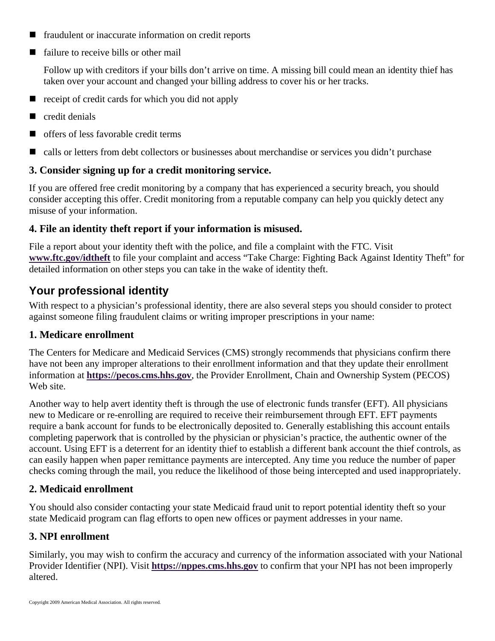- **fraudulent or inaccurate information on credit reports**
- failure to receive bills or other mail

Follow up with creditors if your bills don't arrive on time. A missing bill could mean an identity thief has taken over your account and changed your billing address to cover his or her tracks.

- $\blacksquare$  receipt of credit cards for which you did not apply
- credit denials
- offers of less favorable credit terms
- calls or letters from debt collectors or businesses about merchandise or services you didn't purchase

#### **3. Consider signing up for a credit monitoring service.**

If you are offered free credit monitoring by a company that has experienced a security breach, you should consider accepting this offer. Credit monitoring from a reputable company can help you quickly detect any misuse of your information.

## **4. File an identity theft report if your information is misused.**

File a report about your identity theft with the police, and file a complaint with the FTC. Visit **[www.ftc.gov/idtheft](http://ftc.gov/idtheft)** to file your complaint and access "Take Charge: Fighting Back Against Identity Theft" for detailed information on other steps you can take in the wake of identity theft.

## **Your professional identity**

With respect to a physician's professional identity, there are also several steps you should consider to protect against someone filing fraudulent claims or writing improper prescriptions in your name:

## **1. Medicare enrollment**

The Centers for Medicare and Medicaid Services (CMS) strongly recommends that physicians confirm there have not been any improper alterations to their enrollment information and that they update their enrollment information at **[https://pecos.cms.hhs.gov](https://pecos.cms.hhs.gov/)**, the Provider Enrollment, Chain and Ownership System (PECOS) Web site.

Another way to help avert identity theft is through the use of electronic funds transfer (EFT). All physicians new to Medicare or re-enrolling are required to receive their reimbursement through EFT. EFT payments require a bank account for funds to be electronically deposited to. Generally establishing this account entails completing paperwork that is controlled by the physician or physician's practice, the authentic owner of the account. Using EFT is a deterrent for an identity thief to establish a different bank account the thief controls, as can easily happen when paper remittance payments are intercepted. Any time you reduce the number of paper checks coming through the mail, you reduce the likelihood of those being intercepted and used inappropriately.

## **2. Medicaid enrollment**

You should also consider contacting your state Medicaid fraud unit to report potential identity theft so your state Medicaid program can flag efforts to open new offices or payment addresses in your name.

## **3. NPI enrollment**

Similarly, you may wish to confirm the accuracy and currency of the information associated with your National Provider Identifier (NPI). Visit **[https://nppes.cms.hhs.gov](https://nppes.cms.hhs.gov/)** to confirm that your NPI has not been improperly altered.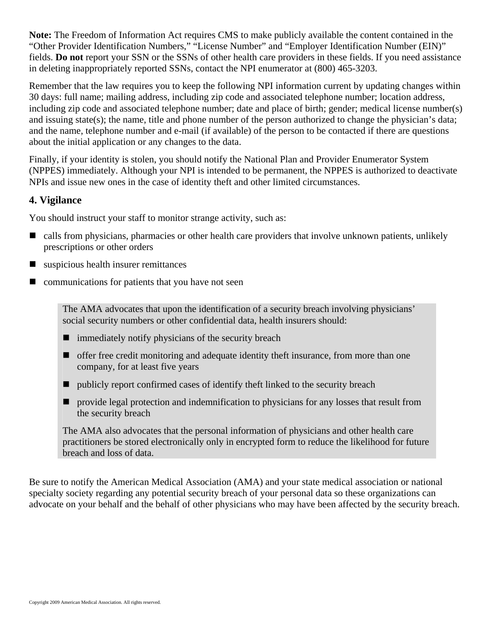**Note:** The Freedom of Information Act requires CMS to make publicly available the content contained in the "Other Provider Identification Numbers," "License Number" and "Employer Identification Number (EIN)" fields. **Do not** report your SSN or the SSNs of other health care providers in these fields. If you need assistance in deleting inappropriately reported SSNs, contact the NPI enumerator at (800) 465-3203.

Remember that the law requires you to keep the following NPI information current by updating changes within 30 days: full name; mailing address, including zip code and associated telephone number; location address, including zip code and associated telephone number; date and place of birth; gender; medical license number(s) and issuing state(s); the name, title and phone number of the person authorized to change the physician's data; and the name, telephone number and e-mail (if available) of the person to be contacted if there are questions about the initial application or any changes to the data.

Finally, if your identity is stolen, you should notify the National Plan and Provider Enumerator System (NPPES) immediately. Although your NPI is intended to be permanent, the NPPES is authorized to deactivate NPIs and issue new ones in the case of identity theft and other limited circumstances.

## **4. Vigilance**

You should instruct your staff to monitor strange activity, such as:

- calls from physicians, pharmacies or other health care providers that involve unknown patients, unlikely prescriptions or other orders
- $\blacksquare$  suspicious health insurer remittances
- $\blacksquare$  communications for patients that you have not seen

The AMA advocates that upon the identification of a security breach involving physicians' social security numbers or other confidential data, health insurers should:

- $\blacksquare$  immediately notify physicians of the security breach
- $\blacksquare$  offer free credit monitoring and adequate identity theft insurance, from more than one company, for at least five years
- publicly report confirmed cases of identify theft linked to the security breach
- $\blacksquare$  provide legal protection and indemnification to physicians for any losses that result from the security breach

The AMA also advocates that the personal information of physicians and other health care practitioners be stored electronically only in encrypted form to reduce the likelihood for future breach and loss of data.

Be sure to notify the American Medical Association (AMA) and your state medical association or national specialty society regarding any potential security breach of your personal data so these organizations can advocate on your behalf and the behalf of other physicians who may have been affected by the security breach.